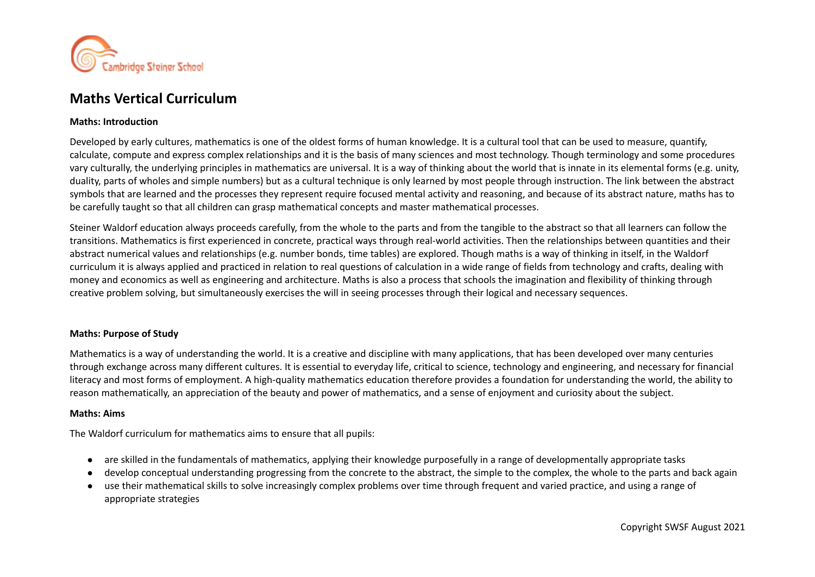

# **Maths Vertical Curriculum**

#### **Maths: Introduction**

Developed by early cultures, mathematics is one of the oldest forms of human knowledge. It is a cultural tool that can be used to measure, quantify, calculate, compute and express complex relationships and it is the basis of many sciences and most technology. Though terminology and some procedures vary culturally, the underlying principles in mathematics are universal. It is a way of thinking about the world that is innate in its elemental forms (e.g. unity, duality, parts of wholes and simple numbers) but as a cultural technique is only learned by most people through instruction. The link between the abstract symbols that are learned and the processes they represent require focused mental activity and reasoning, and because of its abstract nature, maths has to be carefully taught so that all children can grasp mathematical concepts and master mathematical processes.

Steiner Waldorf education always proceeds carefully, from the whole to the parts and from the tangible to the abstract so that all learners can follow the transitions. Mathematics is first experienced in concrete, practical ways through real-world activities. Then the relationships between quantities and their abstract numerical values and relationships (e.g. number bonds, time tables) are explored. Though maths is a way of thinking in itself, in the Waldorf curriculum it is always applied and practiced in relation to real questions of calculation in a wide range of fields from technology and crafts, dealing with money and economics as well as engineering and architecture. Maths is also a process that schools the imagination and flexibility of thinking through creative problem solving, but simultaneously exercises the will in seeing processes through their logical and necessary sequences.

### **Maths: Purpose of Study**

Mathematics is a way of understanding the world. It is a creative and discipline with many applications, that has been developed over many centuries through exchange across many different cultures. It is essential to everyday life, critical to science, technology and engineering, and necessary for financial literacy and most forms of employment. A high-quality mathematics education therefore provides a foundation for understanding the world, the ability to reason mathematically, an appreciation of the beauty and power of mathematics, and a sense of enjoyment and curiosity about the subject.

#### **Maths: Aims**

The Waldorf curriculum for mathematics aims to ensure that all pupils:

- are skilled in the fundamentals of mathematics, applying their knowledge purposefully in a range of developmentally appropriate tasks
- develop conceptual understanding progressing from the concrete to the abstract, the simple to the complex, the whole to the parts and back again
- use their mathematical skills to solve increasingly complex problems over time through frequent and varied practice, and using a range of appropriate strategies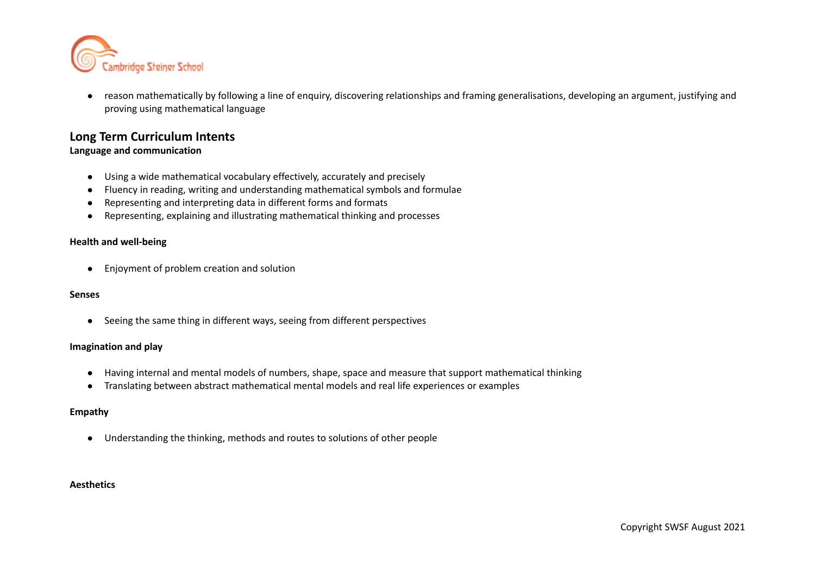

● reason mathematically by following a line of enquiry, discovering relationships and framing generalisations, developing an argument, justifying and proving using mathematical language

# **Long Term Curriculum Intents**

# **Language and communication**

- Using a wide mathematical vocabulary effectively, accurately and precisely
- Fluency in reading, writing and understanding mathematical symbols and formulae
- Representing and interpreting data in different forms and formats
- Representing, explaining and illustrating mathematical thinking and processes

### **Health and well-being**

● Enjoyment of problem creation and solution

#### **Senses**

● Seeing the same thing in different ways, seeing from different perspectives

#### **Imagination and play**

- Having internal and mental models of numbers, shape, space and measure that support mathematical thinking
- Translating between abstract mathematical mental models and real life experiences or examples

#### **Empathy**

● Understanding the thinking, methods and routes to solutions of other people

#### **Aesthetics**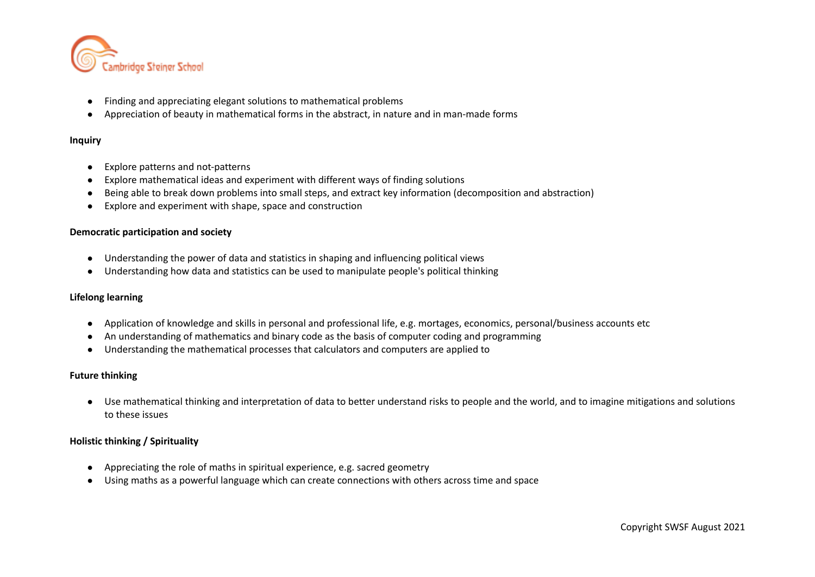

- Finding and appreciating elegant solutions to mathematical problems
- Appreciation of beauty in mathematical forms in the abstract, in nature and in man-made forms

#### **Inquiry**

- Explore patterns and not-patterns
- Explore mathematical ideas and experiment with different ways of finding solutions
- Being able to break down problems into small steps, and extract key information (decomposition and abstraction)
- Explore and experiment with shape, space and construction

#### **Democratic participation and society**

- Understanding the power of data and statistics in shaping and influencing political views
- Understanding how data and statistics can be used to manipulate people's political thinking

#### **Lifelong learning**

- Application of knowledge and skills in personal and professional life, e.g. mortages, economics, personal/business accounts etc
- An understanding of mathematics and binary code as the basis of computer coding and programming
- Understanding the mathematical processes that calculators and computers are applied to

### **Future thinking**

● Use mathematical thinking and interpretation of data to better understand risks to people and the world, and to imagine mitigations and solutions to these issues

#### **Holistic thinking / Spirituality**

- Appreciating the role of maths in spiritual experience, e.g. sacred geometry
- Using maths as a powerful language which can create connections with others across time and space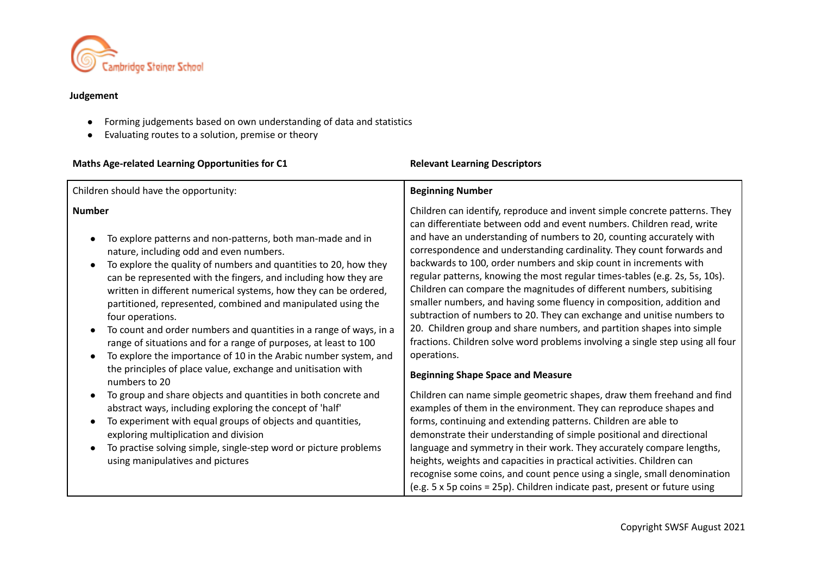

# **Judgement**

- Forming judgements based on own understanding of data and statistics
- Evaluating routes to a solution, premise or theory

| Maths Age-related Learning Opportunities for C1                                                                                                                                                                                                                                                                                                                                                                                                                                                                                                                                                                                                                                                                                   | <b>Relevant Learning Descriptors</b>                                                                                                                                                                                                                                                                                                                                                                                                                                                                                                                                                                                                                                                                                                                                                                                                                                                                       |
|-----------------------------------------------------------------------------------------------------------------------------------------------------------------------------------------------------------------------------------------------------------------------------------------------------------------------------------------------------------------------------------------------------------------------------------------------------------------------------------------------------------------------------------------------------------------------------------------------------------------------------------------------------------------------------------------------------------------------------------|------------------------------------------------------------------------------------------------------------------------------------------------------------------------------------------------------------------------------------------------------------------------------------------------------------------------------------------------------------------------------------------------------------------------------------------------------------------------------------------------------------------------------------------------------------------------------------------------------------------------------------------------------------------------------------------------------------------------------------------------------------------------------------------------------------------------------------------------------------------------------------------------------------|
| Children should have the opportunity:                                                                                                                                                                                                                                                                                                                                                                                                                                                                                                                                                                                                                                                                                             | <b>Beginning Number</b>                                                                                                                                                                                                                                                                                                                                                                                                                                                                                                                                                                                                                                                                                                                                                                                                                                                                                    |
| <b>Number</b><br>To explore patterns and non-patterns, both man-made and in<br>nature, including odd and even numbers.<br>To explore the quality of numbers and quantities to 20, how they<br>can be represented with the fingers, and including how they are<br>written in different numerical systems, how they can be ordered,<br>partitioned, represented, combined and manipulated using the<br>four operations.<br>To count and order numbers and quantities in a range of ways, in a<br>$\bullet$<br>range of situations and for a range of purposes, at least to 100<br>To explore the importance of 10 in the Arabic number system, and<br>the principles of place value, exchange and unitisation with<br>numbers to 20 | Children can identify, reproduce and invent simple concrete patterns. They<br>can differentiate between odd and event numbers. Children read, write<br>and have an understanding of numbers to 20, counting accurately with<br>correspondence and understanding cardinality. They count forwards and<br>backwards to 100, order numbers and skip count in increments with<br>regular patterns, knowing the most regular times-tables (e.g. 2s, 5s, 10s).<br>Children can compare the magnitudes of different numbers, subitising<br>smaller numbers, and having some fluency in composition, addition and<br>subtraction of numbers to 20. They can exchange and unitise numbers to<br>20. Children group and share numbers, and partition shapes into simple<br>fractions. Children solve word problems involving a single step using all four<br>operations.<br><b>Beginning Shape Space and Measure</b> |
| To group and share objects and quantities in both concrete and<br>$\bullet$<br>abstract ways, including exploring the concept of 'half'<br>To experiment with equal groups of objects and quantities,<br>exploring multiplication and division<br>To practise solving simple, single-step word or picture problems<br>$\bullet$<br>using manipulatives and pictures                                                                                                                                                                                                                                                                                                                                                               | Children can name simple geometric shapes, draw them freehand and find<br>examples of them in the environment. They can reproduce shapes and<br>forms, continuing and extending patterns. Children are able to<br>demonstrate their understanding of simple positional and directional<br>language and symmetry in their work. They accurately compare lengths,<br>heights, weights and capacities in practical activities. Children can<br>recognise some coins, and count pence using a single, small denomination<br>(e.g. 5 x 5p coins = 25p). Children indicate past, present or future using                                                                                                                                                                                                                                                                                                         |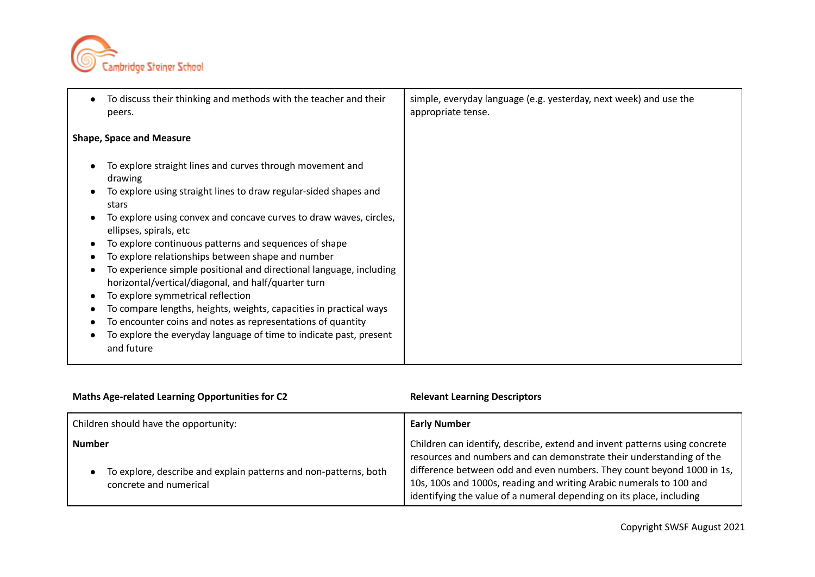

| To discuss their thinking and methods with the teacher and their<br>peers.                                                                                                                                                                                                                                                                                                                                                                                                                                                                                                                                                                                                                                                                                  | simple, everyday language (e.g. yesterday, next week) and use the<br>appropriate tense. |
|-------------------------------------------------------------------------------------------------------------------------------------------------------------------------------------------------------------------------------------------------------------------------------------------------------------------------------------------------------------------------------------------------------------------------------------------------------------------------------------------------------------------------------------------------------------------------------------------------------------------------------------------------------------------------------------------------------------------------------------------------------------|-----------------------------------------------------------------------------------------|
| <b>Shape, Space and Measure</b>                                                                                                                                                                                                                                                                                                                                                                                                                                                                                                                                                                                                                                                                                                                             |                                                                                         |
| To explore straight lines and curves through movement and<br>drawing<br>To explore using straight lines to draw regular-sided shapes and<br>stars<br>To explore using convex and concave curves to draw waves, circles,<br>ellipses, spirals, etc<br>To explore continuous patterns and sequences of shape<br>To explore relationships between shape and number<br>To experience simple positional and directional language, including<br>horizontal/vertical/diagonal, and half/quarter turn<br>To explore symmetrical reflection<br>To compare lengths, heights, weights, capacities in practical ways<br>To encounter coins and notes as representations of quantity<br>To explore the everyday language of time to indicate past, present<br>and future |                                                                                         |

| <b>Maths Age-related Learning Opportunities for C2</b>                                                      | <b>Relevant Learning Descriptors</b>                                                                                                                                                                                                                                                                                                                                        |
|-------------------------------------------------------------------------------------------------------------|-----------------------------------------------------------------------------------------------------------------------------------------------------------------------------------------------------------------------------------------------------------------------------------------------------------------------------------------------------------------------------|
| Children should have the opportunity:                                                                       | <b>Early Number</b>                                                                                                                                                                                                                                                                                                                                                         |
| <b>Number</b><br>To explore, describe and explain patterns and non-patterns, both<br>concrete and numerical | Children can identify, describe, extend and invent patterns using concrete<br>resources and numbers and can demonstrate their understanding of the<br>difference between odd and even numbers. They count beyond 1000 in 1s,<br>10s, 100s and 1000s, reading and writing Arabic numerals to 100 and<br>identifying the value of a numeral depending on its place, including |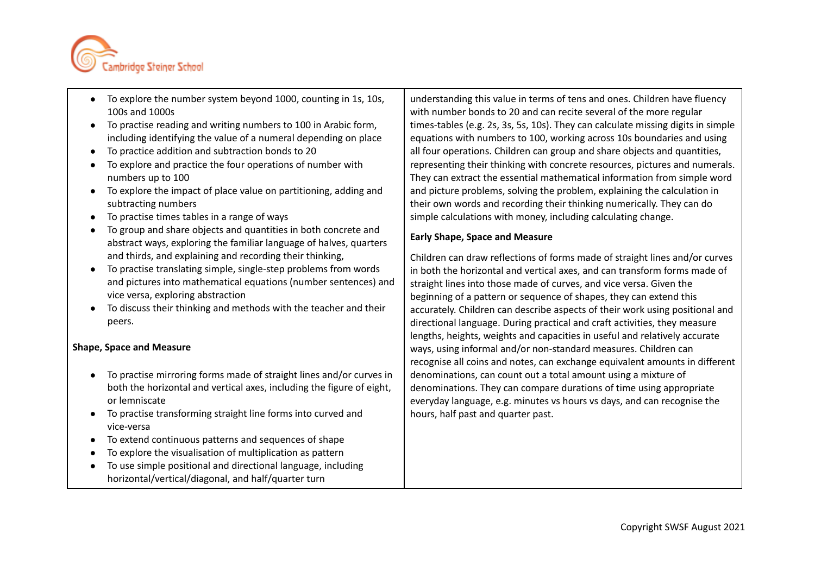

- To explore the number system beyond 1000, counting in 1s, 10s, 100s and 1000s
- To practise reading and writing numbers to 100 in Arabic form, including identifying the value of a numeral depending on place
- To practice addition and subtraction bonds to 20
- To explore and practice the four operations of number with numbers up to 100
- To explore the impact of place value on partitioning, adding and subtracting numbers
- To practise times tables in a range of ways
- To group and share objects and quantities in both concrete and abstract ways, exploring the familiar language of halves, quarters and thirds, and explaining and recording their thinking,
- To practise translating simple, single-step problems from words and pictures into mathematical equations (number sentences) and vice versa, exploring abstraction
- To discuss their thinking and methods with the teacher and their peers.

# **Shape, Space and Measure**

- To practise mirroring forms made of straight lines and/or curves in both the horizontal and vertical axes, including the figure of eight, or lemniscate
- To practise transforming straight line forms into curved and vice-versa
- To extend continuous patterns and sequences of shape
- To explore the visualisation of multiplication as pattern
- To use simple positional and directional language, including horizontal/vertical/diagonal, and half/quarter turn

understanding this value in terms of tens and ones. Children have fluency with number bonds to 20 and can recite several of the more regular times-tables (e.g. 2s, 3s, 5s, 10s). They can calculate missing digits in simple equations with numbers to 100, working across 10s boundaries and using all four operations. Children can group and share objects and quantities, representing their thinking with concrete resources, pictures and numerals. They can extract the essential mathematical information from simple word and picture problems, solving the problem, explaining the calculation in their own words and recording their thinking numerically. They can do simple calculations with money, including calculating change.

# **Early Shape, Space and Measure**

Children can draw reflections of forms made of straight lines and/or curves in both the horizontal and vertical axes, and can transform forms made of straight lines into those made of curves, and vice versa. Given the beginning of a pattern or sequence of shapes, they can extend this accurately. Children can describe aspects of their work using positional and directional language. During practical and craft activities, they measure lengths, heights, weights and capacities in useful and relatively accurate ways, using informal and/or non-standard measures. Children can recognise all coins and notes, can exchange equivalent amounts in different denominations, can count out a total amount using a mixture of denominations. They can compare durations of time using appropriate everyday language, e.g. minutes vs hours vs days, and can recognise the hours, half past and quarter past.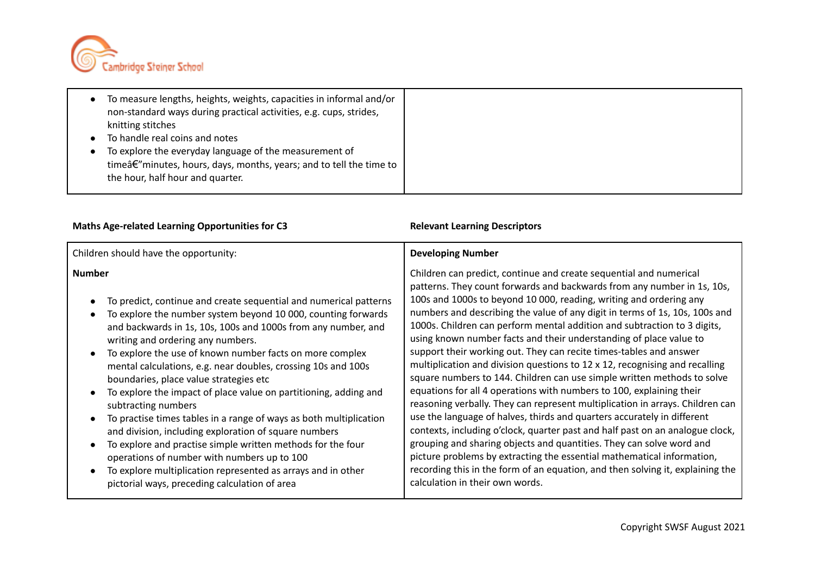

| To measure lengths, heights, weights, capacities in informal and/or<br>non-standard ways during practical activities, e.g. cups, strides,<br>knitting stitches<br>To handle real coins and notes<br>To explore the everyday language of the measurement of<br>timeâ€"minutes, hours, days, months, years; and to tell the time to |  |
|-----------------------------------------------------------------------------------------------------------------------------------------------------------------------------------------------------------------------------------------------------------------------------------------------------------------------------------|--|
| the hour, half hour and quarter.                                                                                                                                                                                                                                                                                                  |  |

| Children should have the opportunity:<br><b>Developing Number</b>                                                                                                                                                                                                                                                                                                                                                                                                                                                                                                                                                                                                                                                                                                                                                                                                                                                                                                                                                                                                                                                                                                                                                                                                                                                                                                                                                                                                                                                                                                                                                                                                                                                                                                                                                                                                                                                                                                                                                                                                                                                                                                                          |
|--------------------------------------------------------------------------------------------------------------------------------------------------------------------------------------------------------------------------------------------------------------------------------------------------------------------------------------------------------------------------------------------------------------------------------------------------------------------------------------------------------------------------------------------------------------------------------------------------------------------------------------------------------------------------------------------------------------------------------------------------------------------------------------------------------------------------------------------------------------------------------------------------------------------------------------------------------------------------------------------------------------------------------------------------------------------------------------------------------------------------------------------------------------------------------------------------------------------------------------------------------------------------------------------------------------------------------------------------------------------------------------------------------------------------------------------------------------------------------------------------------------------------------------------------------------------------------------------------------------------------------------------------------------------------------------------------------------------------------------------------------------------------------------------------------------------------------------------------------------------------------------------------------------------------------------------------------------------------------------------------------------------------------------------------------------------------------------------------------------------------------------------------------------------------------------------|
| Children can predict, continue and create sequential and numerical<br><b>Number</b><br>patterns. They count forwards and backwards from any number in 1s, 10s,<br>100s and 1000s to beyond 10 000, reading, writing and ordering any<br>To predict, continue and create sequential and numerical patterns<br>numbers and describing the value of any digit in terms of 1s, 10s, 100s and<br>To explore the number system beyond 10 000, counting forwards<br>1000s. Children can perform mental addition and subtraction to 3 digits,<br>and backwards in 1s, 10s, 100s and 1000s from any number, and<br>using known number facts and their understanding of place value to<br>writing and ordering any numbers.<br>support their working out. They can recite times-tables and answer<br>To explore the use of known number facts on more complex<br>$\bullet$<br>multiplication and division questions to 12 x 12, recognising and recalling<br>mental calculations, e.g. near doubles, crossing 10s and 100s<br>square numbers to 144. Children can use simple written methods to solve<br>boundaries, place value strategies etc<br>equations for all 4 operations with numbers to 100, explaining their<br>To explore the impact of place value on partitioning, adding and<br>reasoning verbally. They can represent multiplication in arrays. Children can<br>subtracting numbers<br>use the language of halves, thirds and quarters accurately in different<br>To practise times tables in a range of ways as both multiplication<br>contexts, including o'clock, quarter past and half past on an analogue clock,<br>and division, including exploration of square numbers<br>grouping and sharing objects and quantities. They can solve word and<br>To explore and practise simple written methods for the four<br>picture problems by extracting the essential mathematical information,<br>operations of number with numbers up to 100<br>recording this in the form of an equation, and then solving it, explaining the<br>To explore multiplication represented as arrays and in other<br>calculation in their own words.<br>pictorial ways, preceding calculation of area |

# **Maths** Age-related Learning Opportunities for C3 **Relevant** Learning Descriptors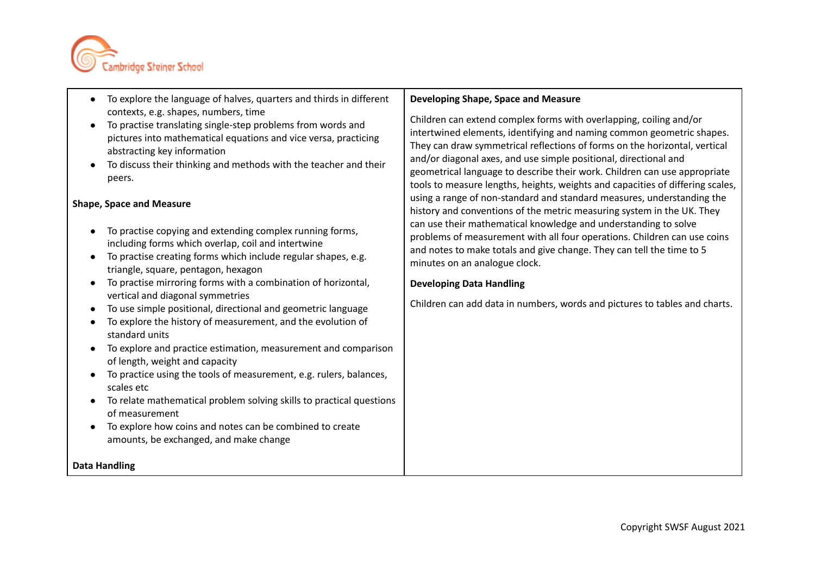

- To explore the language of halves, quarters and thirds in different contexts, e.g. shapes, numbers, time
- To practise translating single-step problems from words and pictures into mathematical equations and vice versa, practicing abstracting key information
- To discuss their thinking and methods with the teacher and their peers.

#### **Shape, Space and Measure**

- To practise copying and extending complex running forms, including forms which overlap, coil and intertwine
- To practise creating forms which include regular shapes, e.g. triangle, square, pentagon, hexagon
- To practise mirroring forms with a combination of horizontal, vertical and diagonal symmetries
- To use simple positional, directional and geometric language
- To explore the history of measurement, and the evolution of standard units
- To explore and practice estimation, measurement and comparison of length, weight and capacity
- To practice using the tools of measurement, e.g. rulers, balances, scales etc
- To relate mathematical problem solving skills to practical questions of measurement
- To explore how coins and notes can be combined to create amounts, be exchanged, and make change

**Data Handling**

#### **Developing Shape, Space and Measure**

Children can extend complex forms with overlapping, coiling and/or intertwined elements, identifying and naming common geometric shapes. They can draw symmetrical reflections of forms on the horizontal, vertical and/or diagonal axes, and use simple positional, directional and geometrical language to describe their work. Children can use appropriate tools to measure lengths, heights, weights and capacities of differing scales, using a range of non-standard and standard measures, understanding the history and conventions of the metric measuring system in the UK. They can use their mathematical knowledge and understanding to solve problems of measurement with all four operations. Children can use coins and notes to make totals and give change. They can tell the time to 5 minutes on an analogue clock.

#### **Developing Data Handling**

Children can add data in numbers, words and pictures to tables and charts.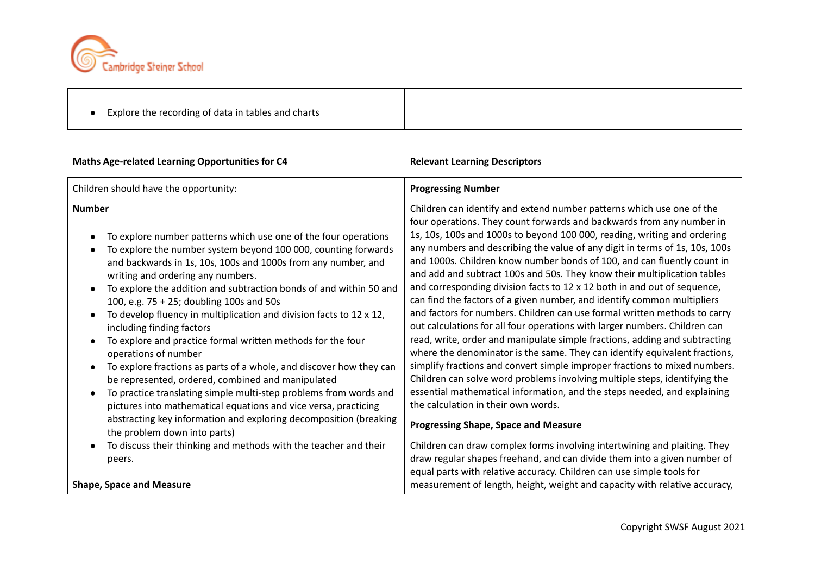

|  | Explore the recording of data in tables and charts |
|--|----------------------------------------------------|
|--|----------------------------------------------------|

# **Maths** Age-related Learning Opportunities for C4 **Relevant** Learning Descriptors

| Children should have the opportunity:                                                                                                                                                                                                                                                                                                                                                                                                                                                                                                                                                                                                                                                                                                                                                                                                                                                                                                                                                                                        | <b>Progressing Number</b>                                                                                                                                                                                                                                                                                                                                                                                                                                                                                                                                                                                                                                                                                                                                                                                                                                                                                                                                                                                                                                                                                                                                                                                                                                                                                                                                                                                                             |
|------------------------------------------------------------------------------------------------------------------------------------------------------------------------------------------------------------------------------------------------------------------------------------------------------------------------------------------------------------------------------------------------------------------------------------------------------------------------------------------------------------------------------------------------------------------------------------------------------------------------------------------------------------------------------------------------------------------------------------------------------------------------------------------------------------------------------------------------------------------------------------------------------------------------------------------------------------------------------------------------------------------------------|---------------------------------------------------------------------------------------------------------------------------------------------------------------------------------------------------------------------------------------------------------------------------------------------------------------------------------------------------------------------------------------------------------------------------------------------------------------------------------------------------------------------------------------------------------------------------------------------------------------------------------------------------------------------------------------------------------------------------------------------------------------------------------------------------------------------------------------------------------------------------------------------------------------------------------------------------------------------------------------------------------------------------------------------------------------------------------------------------------------------------------------------------------------------------------------------------------------------------------------------------------------------------------------------------------------------------------------------------------------------------------------------------------------------------------------|
| <b>Number</b><br>To explore number patterns which use one of the four operations<br>To explore the number system beyond 100 000, counting forwards<br>and backwards in 1s, 10s, 100s and 1000s from any number, and<br>writing and ordering any numbers.<br>To explore the addition and subtraction bonds of and within 50 and<br>100, e.g. 75 + 25; doubling 100s and 50s<br>To develop fluency in multiplication and division facts to 12 x 12,<br>including finding factors<br>To explore and practice formal written methods for the four<br>operations of number<br>To explore fractions as parts of a whole, and discover how they can<br>be represented, ordered, combined and manipulated<br>To practice translating simple multi-step problems from words and<br>pictures into mathematical equations and vice versa, practicing<br>abstracting key information and exploring decomposition (breaking<br>the problem down into parts)<br>To discuss their thinking and methods with the teacher and their<br>peers. | Children can identify and extend number patterns which use one of the<br>four operations. They count forwards and backwards from any number in<br>1s, 10s, 100s and 1000s to beyond 100 000, reading, writing and ordering<br>any numbers and describing the value of any digit in terms of 1s, 10s, 100s<br>and 1000s. Children know number bonds of 100, and can fluently count in<br>and add and subtract 100s and 50s. They know their multiplication tables<br>and corresponding division facts to 12 x 12 both in and out of sequence,<br>can find the factors of a given number, and identify common multipliers<br>and factors for numbers. Children can use formal written methods to carry<br>out calculations for all four operations with larger numbers. Children can<br>read, write, order and manipulate simple fractions, adding and subtracting<br>where the denominator is the same. They can identify equivalent fractions,<br>simplify fractions and convert simple improper fractions to mixed numbers.<br>Children can solve word problems involving multiple steps, identifying the<br>essential mathematical information, and the steps needed, and explaining<br>the calculation in their own words.<br><b>Progressing Shape, Space and Measure</b><br>Children can draw complex forms involving intertwining and plaiting. They<br>draw regular shapes freehand, and can divide them into a given number of |
| <b>Shape, Space and Measure</b>                                                                                                                                                                                                                                                                                                                                                                                                                                                                                                                                                                                                                                                                                                                                                                                                                                                                                                                                                                                              | equal parts with relative accuracy. Children can use simple tools for<br>measurement of length, height, weight and capacity with relative accuracy,                                                                                                                                                                                                                                                                                                                                                                                                                                                                                                                                                                                                                                                                                                                                                                                                                                                                                                                                                                                                                                                                                                                                                                                                                                                                                   |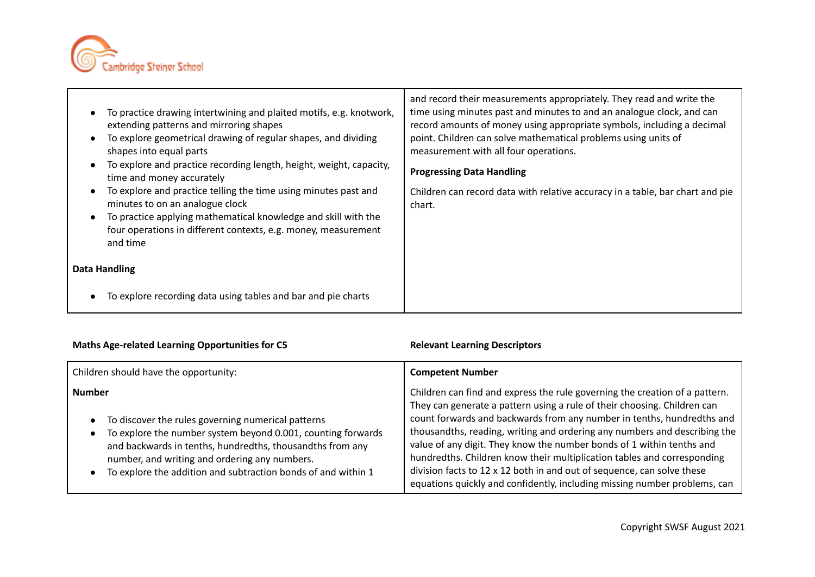

| To practice drawing intertwining and plaited motifs, e.g. knotwork,<br>extending patterns and mirroring shapes<br>To explore geometrical drawing of regular shapes, and dividing<br>shapes into equal parts<br>To explore and practice recording length, height, weight, capacity,<br>time and money accurately<br>To explore and practice telling the time using minutes past and<br>minutes to on an analogue clock<br>To practice applying mathematical knowledge and skill with the<br>four operations in different contexts, e.g. money, measurement<br>and time<br>Data Handling | and record their measurements appropriately. They read and write the<br>time using minutes past and minutes to and an analogue clock, and can<br>record amounts of money using appropriate symbols, including a decimal<br>point. Children can solve mathematical problems using units of<br>measurement with all four operations.<br><b>Progressing Data Handling</b><br>Children can record data with relative accuracy in a table, bar chart and pie<br>chart. |
|----------------------------------------------------------------------------------------------------------------------------------------------------------------------------------------------------------------------------------------------------------------------------------------------------------------------------------------------------------------------------------------------------------------------------------------------------------------------------------------------------------------------------------------------------------------------------------------|-------------------------------------------------------------------------------------------------------------------------------------------------------------------------------------------------------------------------------------------------------------------------------------------------------------------------------------------------------------------------------------------------------------------------------------------------------------------|
| To explore recording data using tables and bar and pie charts                                                                                                                                                                                                                                                                                                                                                                                                                                                                                                                          |                                                                                                                                                                                                                                                                                                                                                                                                                                                                   |

# **Maths** Age-related Learning Opportunities for C5 **Relevant** Learning Descriptors

| Children should have the opportunity:                                                                                                                                                                                                                                                                              | <b>Competent Number</b>                                                                                                                                                                                                                                                                                                                                                                                                                                                                                                                                                                                                   |
|--------------------------------------------------------------------------------------------------------------------------------------------------------------------------------------------------------------------------------------------------------------------------------------------------------------------|---------------------------------------------------------------------------------------------------------------------------------------------------------------------------------------------------------------------------------------------------------------------------------------------------------------------------------------------------------------------------------------------------------------------------------------------------------------------------------------------------------------------------------------------------------------------------------------------------------------------------|
| <b>Number</b><br>To discover the rules governing numerical patterns<br>To explore the number system beyond 0.001, counting forwards<br>and backwards in tenths, hundredths, thousandths from any<br>number, and writing and ordering any numbers.<br>To explore the addition and subtraction bonds of and within 1 | Children can find and express the rule governing the creation of a pattern.<br>They can generate a pattern using a rule of their choosing. Children can<br>count forwards and backwards from any number in tenths, hundredths and<br>thousandths, reading, writing and ordering any numbers and describing the<br>value of any digit. They know the number bonds of 1 within tenths and<br>hundredths. Children know their multiplication tables and corresponding<br>division facts to 12 x 12 both in and out of sequence, can solve these<br>equations quickly and confidently, including missing number problems, can |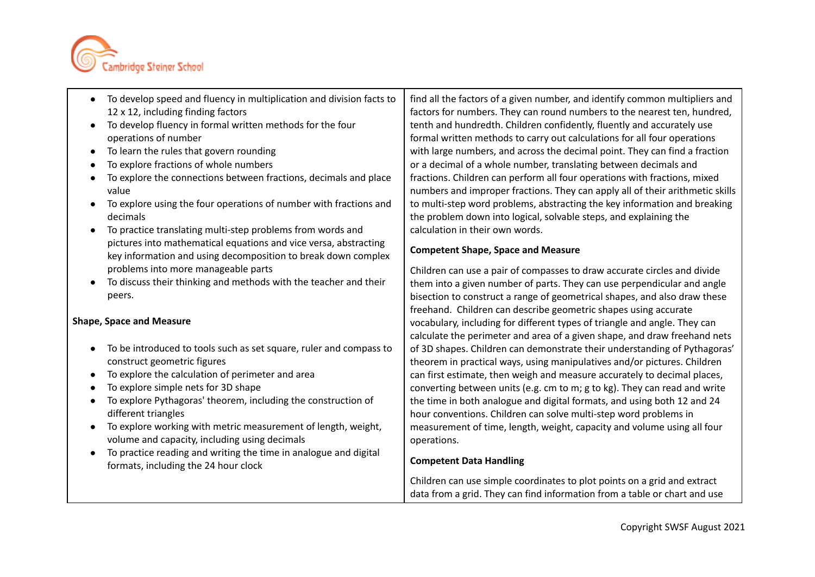

- To develop speed and fluency in multiplication and division facts to 12 x 12, including finding factors
- To develop fluency in formal written methods for the four operations of number
- To learn the rules that govern rounding
- To explore fractions of whole numbers
- To explore the connections between fractions, decimals and place value
- To explore using the four operations of number with fractions and decimals
- To practice translating multi-step problems from words and pictures into mathematical equations and vice versa, abstracting key information and using decomposition to break down complex problems into more manageable parts
- To discuss their thinking and methods with the teacher and their peers.

## **Shape, Space and Measure**

- To be introduced to tools such as set square, ruler and compass to construct geometric figures
- To explore the calculation of perimeter and area
- To explore simple nets for 3D shape
- To explore Pythagoras' theorem, including the construction of different triangles
- To explore working with metric measurement of length, weight, volume and capacity, including using decimals
- To practice reading and writing the time in analogue and digital formats, including the 24 hour clock

find all the factors of a given number, and identify common multipliers and factors for numbers. They can round numbers to the nearest ten, hundred, tenth and hundredth. Children confidently, fluently and accurately use formal written methods to carry out calculations for all four operations with large numbers, and across the decimal point. They can find a fraction or a decimal of a whole number, translating between decimals and fractions. Children can perform all four operations with fractions, mixed numbers and improper fractions. They can apply all of their arithmetic skills to multi-step word problems, abstracting the key information and breaking the problem down into logical, solvable steps, and explaining the calculation in their own words.

### **Competent Shape, Space and Measure**

Children can use a pair of compasses to draw accurate circles and divide them into a given number of parts. They can use perpendicular and angle bisection to construct a range of geometrical shapes, and also draw these freehand. Children can describe geometric shapes using accurate vocabulary, including for different types of triangle and angle. They can calculate the perimeter and area of a given shape, and draw freehand nets of 3D shapes. Children can demonstrate their understanding of Pythagoras' theorem in practical ways, using manipulatives and/or pictures. Children can first estimate, then weigh and measure accurately to decimal places, converting between units (e.g. cm to m; g to kg). They can read and write the time in both analogue and digital formats, and using both 12 and 24 hour conventions. Children can solve multi-step word problems in measurement of time, length, weight, capacity and volume using all four operations.

## **Competent Data Handling**

Children can use simple coordinates to plot points on a grid and extract data from a grid. They can find information from a table or chart and use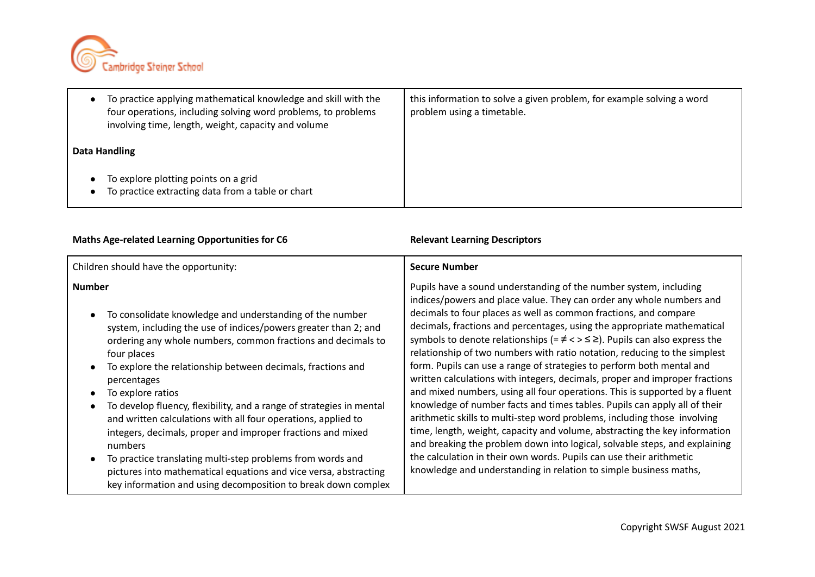

| To practice applying mathematical knowledge and skill with the<br>four operations, including solving word problems, to problems<br>involving time, length, weight, capacity and volume | this information to solve a given problem, for example solving a word<br>problem using a timetable. |
|----------------------------------------------------------------------------------------------------------------------------------------------------------------------------------------|-----------------------------------------------------------------------------------------------------|
| Data Handling                                                                                                                                                                          |                                                                                                     |
| To explore plotting points on a grid<br>To practice extracting data from a table or chart                                                                                              |                                                                                                     |

# **Maths Age-related Learning Opportunities for C6 Relevant Learning Descriptors**

| Children should have the opportunity:                                | <b>Secure Number</b>                                                                       |
|----------------------------------------------------------------------|--------------------------------------------------------------------------------------------|
| Number                                                               | Pupils have a sound understanding of the number system, including                          |
| To consolidate knowledge and understanding of the number             | indices/powers and place value. They can order any whole numbers and                       |
| system, including the use of indices/powers greater than 2; and      | decimals to four places as well as common fractions, and compare                           |
| ordering any whole numbers, common fractions and decimals to         | decimals, fractions and percentages, using the appropriate mathematical                    |
| four places                                                          | symbols to denote relationships (= $\neq$ < > $\leq$ $\geq$ ). Pupils can also express the |
| To explore the relationship between decimals, fractions and          | relationship of two numbers with ratio notation, reducing to the simplest                  |
| percentages                                                          | form. Pupils can use a range of strategies to perform both mental and                      |
| To explore ratios                                                    | written calculations with integers, decimals, proper and improper fractions                |
| To develop fluency, flexibility, and a range of strategies in mental | and mixed numbers, using all four operations. This is supported by a fluent                |
| and written calculations with all four operations, applied to        | knowledge of number facts and times tables. Pupils can apply all of their                  |
| integers, decimals, proper and improper fractions and mixed          | arithmetic skills to multi-step word problems, including those involving                   |
| numbers                                                              | time, length, weight, capacity and volume, abstracting the key information                 |
| To practice translating multi-step problems from words and           | and breaking the problem down into logical, solvable steps, and explaining                 |
| pictures into mathematical equations and vice versa, abstracting     | the calculation in their own words. Pupils can use their arithmetic                        |
| key information and using decomposition to break down complex        | knowledge and understanding in relation to simple business maths,                          |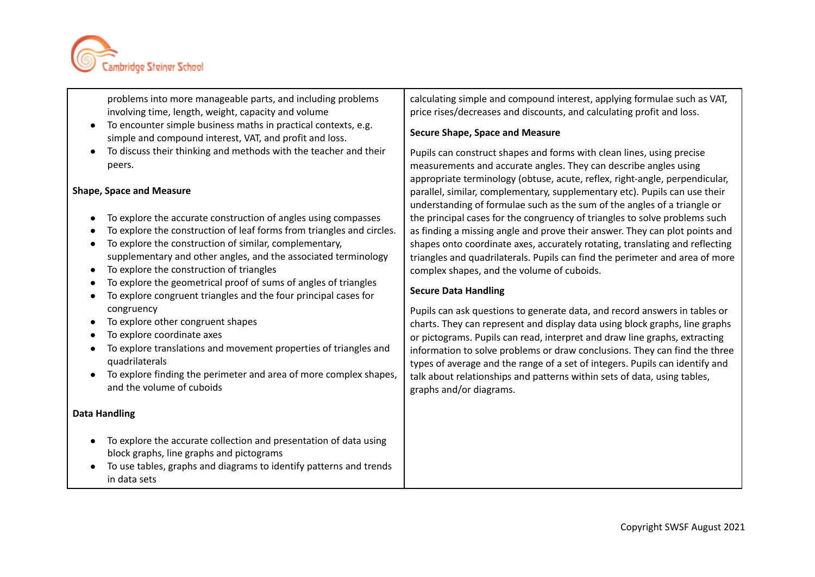

problems into more manageable parts, and including problems involving time, length, weight, capacity and volume

- To encounter simple business maths in practical contexts, e.g. simple and compound interest, VAT, and profit and loss.
- To discuss their thinking and methods with the teacher and their peers.

#### **Shape, Space and Measure**

- To explore the accurate construction of angles using compasses
- To explore the construction of leaf forms from triangles and circles.
- To explore the construction of similar, complementary, supplementary and other angles, and the associated terminology
- To explore the construction of triangles
- To explore the geometrical proof of sums of angles of triangles
- To explore congruent triangles and the four principal cases for congruency
- To explore other congruent shapes
- To explore coordinate axes
- To explore translations and movement properties of triangles and quadrilaterals
- To explore finding the perimeter and area of more complex shapes, and the volume of cuboids

#### **Data Handling**

- To explore the accurate collection and presentation of data using block graphs, line graphs and pictograms
- To use tables, graphs and diagrams to identify patterns and trends in data sets

calculating simple and compound interest, applying formulae such as VAT, price rises/decreases and discounts, and calculating profit and loss.

#### **Secure Shape, Space and Measure**

Pupils can construct shapes and forms with clean lines, using precise measurements and accurate angles. They can describe angles using appropriate terminology (obtuse, acute, reflex, right-angle, perpendicular, parallel, similar, complementary, supplementary etc). Pupils can use their understanding of formulae such as the sum of the angles of a triangle or the principal cases for the congruency of triangles to solve problems such as finding a missing angle and prove their answer. They can plot points and shapes onto coordinate axes, accurately rotating, translating and reflecting triangles and quadrilaterals. Pupils can find the perimeter and area of more complex shapes, and the volume of cuboids.

### **Secure Data Handling**

Pupils can ask questions to generate data, and record answers in tables or charts. They can represent and display data using block graphs, line graphs or pictograms. Pupils can read, interpret and draw line graphs, extracting information to solve problems or draw conclusions. They can find the three types of average and the range of a set of integers. Pupils can identify and talk about relationships and patterns within sets of data, using tables, graphs and/or diagrams.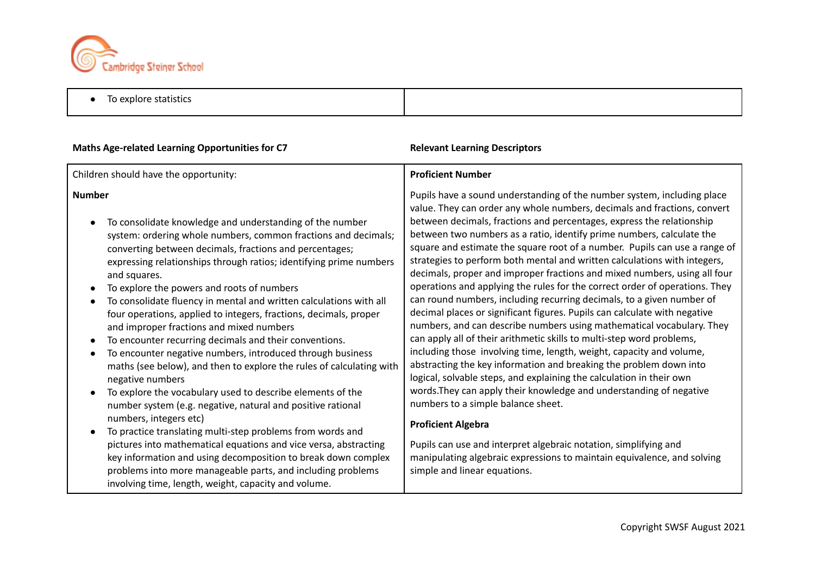

● To explore statistics

| <b>Maths Age-related Learning Opportunities for C7</b>                                                                                                                                                                                                                                                                                                                                                                                                                                                                                                                                                                                                                                                                                                                                                                                                                                                                                                                                                                                                                                                                                                                                                                                                                                                  | <b>Relevant Learning Descriptors</b>                                                                                                                                                                                                                                                                                                                                                                                                                                                                                                                                                                                                                                                                                                                                                                                                                                                                                                                                                                                                                                                                                                                                                                                                                                                                                                                                                                                                                                                |
|---------------------------------------------------------------------------------------------------------------------------------------------------------------------------------------------------------------------------------------------------------------------------------------------------------------------------------------------------------------------------------------------------------------------------------------------------------------------------------------------------------------------------------------------------------------------------------------------------------------------------------------------------------------------------------------------------------------------------------------------------------------------------------------------------------------------------------------------------------------------------------------------------------------------------------------------------------------------------------------------------------------------------------------------------------------------------------------------------------------------------------------------------------------------------------------------------------------------------------------------------------------------------------------------------------|-------------------------------------------------------------------------------------------------------------------------------------------------------------------------------------------------------------------------------------------------------------------------------------------------------------------------------------------------------------------------------------------------------------------------------------------------------------------------------------------------------------------------------------------------------------------------------------------------------------------------------------------------------------------------------------------------------------------------------------------------------------------------------------------------------------------------------------------------------------------------------------------------------------------------------------------------------------------------------------------------------------------------------------------------------------------------------------------------------------------------------------------------------------------------------------------------------------------------------------------------------------------------------------------------------------------------------------------------------------------------------------------------------------------------------------------------------------------------------------|
| Children should have the opportunity:                                                                                                                                                                                                                                                                                                                                                                                                                                                                                                                                                                                                                                                                                                                                                                                                                                                                                                                                                                                                                                                                                                                                                                                                                                                                   | <b>Proficient Number</b>                                                                                                                                                                                                                                                                                                                                                                                                                                                                                                                                                                                                                                                                                                                                                                                                                                                                                                                                                                                                                                                                                                                                                                                                                                                                                                                                                                                                                                                            |
| <b>Number</b><br>To consolidate knowledge and understanding of the number<br>$\bullet$<br>system: ordering whole numbers, common fractions and decimals;<br>converting between decimals, fractions and percentages;<br>expressing relationships through ratios; identifying prime numbers<br>and squares.<br>To explore the powers and roots of numbers<br>$\bullet$<br>To consolidate fluency in mental and written calculations with all<br>four operations, applied to integers, fractions, decimals, proper<br>and improper fractions and mixed numbers<br>To encounter recurring decimals and their conventions.<br>$\bullet$<br>To encounter negative numbers, introduced through business<br>$\bullet$<br>maths (see below), and then to explore the rules of calculating with<br>negative numbers<br>To explore the vocabulary used to describe elements of the<br>$\bullet$<br>number system (e.g. negative, natural and positive rational<br>numbers, integers etc)<br>To practice translating multi-step problems from words and<br>pictures into mathematical equations and vice versa, abstracting<br>key information and using decomposition to break down complex<br>problems into more manageable parts, and including problems<br>involving time, length, weight, capacity and volume. | Pupils have a sound understanding of the number system, including place<br>value. They can order any whole numbers, decimals and fractions, convert<br>between decimals, fractions and percentages, express the relationship<br>between two numbers as a ratio, identify prime numbers, calculate the<br>square and estimate the square root of a number. Pupils can use a range of<br>strategies to perform both mental and written calculations with integers,<br>decimals, proper and improper fractions and mixed numbers, using all four<br>operations and applying the rules for the correct order of operations. They<br>can round numbers, including recurring decimals, to a given number of<br>decimal places or significant figures. Pupils can calculate with negative<br>numbers, and can describe numbers using mathematical vocabulary. They<br>can apply all of their arithmetic skills to multi-step word problems,<br>including those involving time, length, weight, capacity and volume,<br>abstracting the key information and breaking the problem down into<br>logical, solvable steps, and explaining the calculation in their own<br>words. They can apply their knowledge and understanding of negative<br>numbers to a simple balance sheet.<br><b>Proficient Algebra</b><br>Pupils can use and interpret algebraic notation, simplifying and<br>manipulating algebraic expressions to maintain equivalence, and solving<br>simple and linear equations. |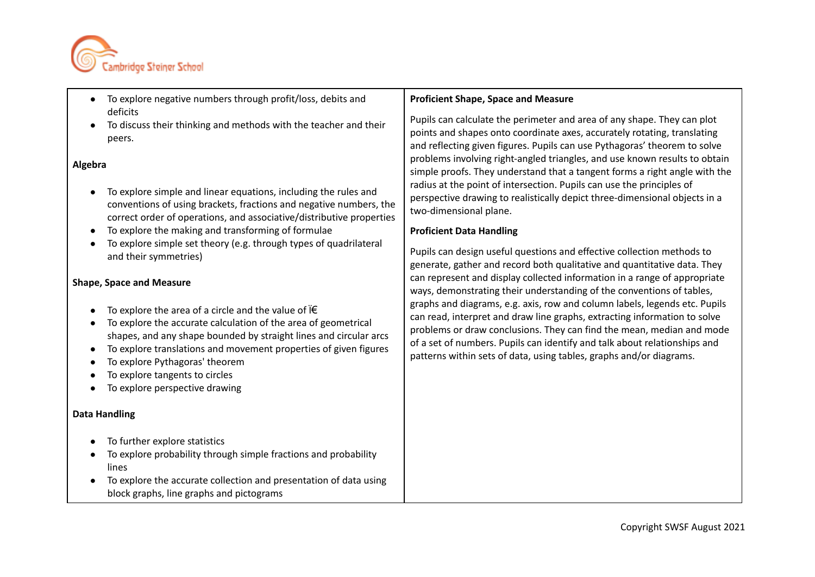

- To explore negative numbers through profit/loss, debits and deficits
- To discuss their thinking and methods with the teacher and their peers.

### **Algebra**

- To explore simple and linear equations, including the rules and conventions of using brackets, fractions and negative numbers, the correct order of operations, and associative/distributive properties
- To explore the making and transforming of formulae
- To explore simple set theory (e.g. through types of quadrilateral and their symmetries)

#### **Shape, Space and Measure**

- To explore the area of a circle and the value of  $\mathcal{F}$
- To explore the accurate calculation of the area of geometrical shapes, and any shape bounded by straight lines and circular arcs
- To explore translations and movement properties of given figures
- To explore Pythagoras' theorem
- To explore tangents to circles
- To explore perspective drawing

#### **Data Handling**

- To further explore statistics
- To explore probability through simple fractions and probability lines
- To explore the accurate collection and presentation of data using block graphs, line graphs and pictograms

### **Proficient Shape, Space and Measure**

Pupils can calculate the perimeter and area of any shape. They can plot points and shapes onto coordinate axes, accurately rotating, translating and reflecting given figures. Pupils can use Pythagoras' theorem to solve problems involving right-angled triangles, and use known results to obtain simple proofs. They understand that a tangent forms a right angle with the radius at the point of intersection. Pupils can use the principles of perspective drawing to realistically depict three-dimensional objects in a two-dimensional plane.

### **Proficient Data Handling**

Pupils can design useful questions and effective collection methods to generate, gather and record both qualitative and quantitative data. They can represent and display collected information in a range of appropriate ways, demonstrating their understanding of the conventions of tables, graphs and diagrams, e.g. axis, row and column labels, legends etc. Pupils can read, interpret and draw line graphs, extracting information to solve problems or draw conclusions. They can find the mean, median and mode of a set of numbers. Pupils can identify and talk about relationships and patterns within sets of data, using tables, graphs and/or diagrams.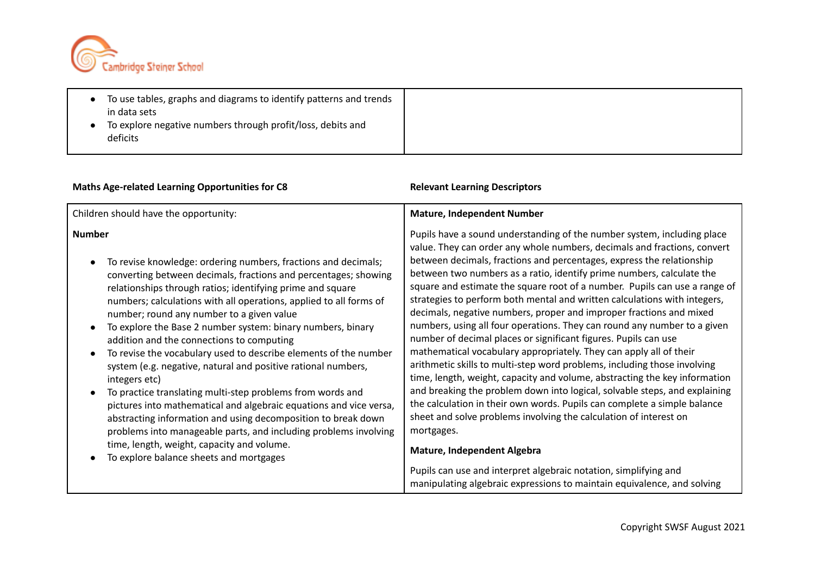

● To use tables, graphs and diagrams to identify patterns and trends in data sets ● To explore negative numbers through profit/loss, debits and deficits

# **Maths Age-related Learning Opportunities for C8 Relevant Learning Descriptors**

| Children should have the opportunity:                                                                                                                                                                                                                                                                                                                                                                                                                                                                                                                                                                                                                                                                                                                                                                                                                                                                                                                                   | <b>Mature, Independent Number</b>                                                                                                                                                                                                                                                                                                                                                                                                                                                                                                                                                                                                                                                                                                                                                                                                                                                                                                                                                                                                                                                                                                                                                                                                                                                                                                                        |
|-------------------------------------------------------------------------------------------------------------------------------------------------------------------------------------------------------------------------------------------------------------------------------------------------------------------------------------------------------------------------------------------------------------------------------------------------------------------------------------------------------------------------------------------------------------------------------------------------------------------------------------------------------------------------------------------------------------------------------------------------------------------------------------------------------------------------------------------------------------------------------------------------------------------------------------------------------------------------|----------------------------------------------------------------------------------------------------------------------------------------------------------------------------------------------------------------------------------------------------------------------------------------------------------------------------------------------------------------------------------------------------------------------------------------------------------------------------------------------------------------------------------------------------------------------------------------------------------------------------------------------------------------------------------------------------------------------------------------------------------------------------------------------------------------------------------------------------------------------------------------------------------------------------------------------------------------------------------------------------------------------------------------------------------------------------------------------------------------------------------------------------------------------------------------------------------------------------------------------------------------------------------------------------------------------------------------------------------|
| <b>Number</b><br>To revise knowledge: ordering numbers, fractions and decimals;<br>converting between decimals, fractions and percentages; showing<br>relationships through ratios; identifying prime and square<br>numbers; calculations with all operations, applied to all forms of<br>number; round any number to a given value<br>To explore the Base 2 number system: binary numbers, binary<br>addition and the connections to computing<br>To revise the vocabulary used to describe elements of the number<br>system (e.g. negative, natural and positive rational numbers,<br>integers etc)<br>To practice translating multi-step problems from words and<br>pictures into mathematical and algebraic equations and vice versa,<br>abstracting information and using decomposition to break down<br>problems into manageable parts, and including problems involving<br>time, length, weight, capacity and volume.<br>To explore balance sheets and mortgages | Pupils have a sound understanding of the number system, including place<br>value. They can order any whole numbers, decimals and fractions, convert<br>between decimals, fractions and percentages, express the relationship<br>between two numbers as a ratio, identify prime numbers, calculate the<br>square and estimate the square root of a number. Pupils can use a range of<br>strategies to perform both mental and written calculations with integers,<br>decimals, negative numbers, proper and improper fractions and mixed<br>numbers, using all four operations. They can round any number to a given<br>number of decimal places or significant figures. Pupils can use<br>mathematical vocabulary appropriately. They can apply all of their<br>arithmetic skills to multi-step word problems, including those involving<br>time, length, weight, capacity and volume, abstracting the key information<br>and breaking the problem down into logical, solvable steps, and explaining<br>the calculation in their own words. Pupils can complete a simple balance<br>sheet and solve problems involving the calculation of interest on<br>mortgages.<br><b>Mature, Independent Algebra</b><br>Pupils can use and interpret algebraic notation, simplifying and<br>manipulating algebraic expressions to maintain equivalence, and solving |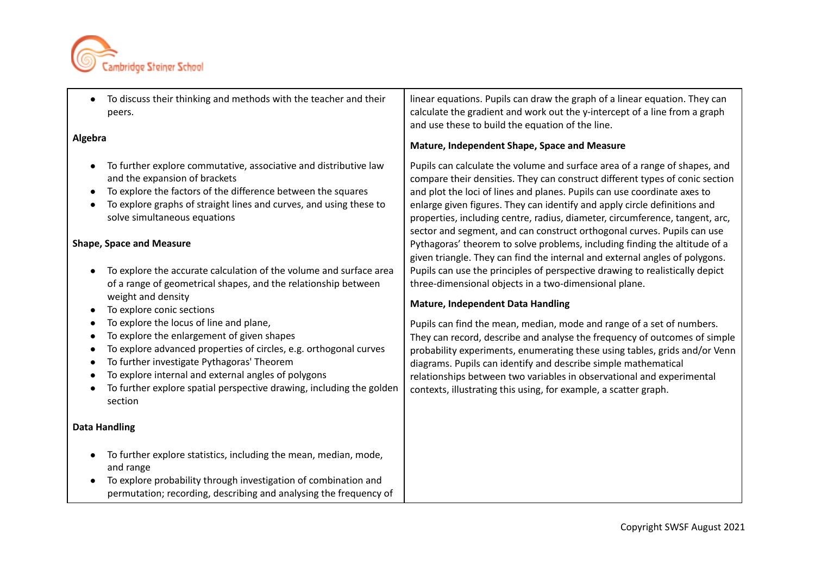

| $\bullet$                                                                  | To discuss their thinking and methods with the teacher and their<br>peers.                                                                                                                                                                                                                                                                         | linear equations. Pupils can draw the graph of a linear equation. They can<br>calculate the gradient and work out the y-intercept of a line from a graph<br>and use these to build the equation of the line.                                                                                                                                                                                                                                                                   |
|----------------------------------------------------------------------------|----------------------------------------------------------------------------------------------------------------------------------------------------------------------------------------------------------------------------------------------------------------------------------------------------------------------------------------------------|--------------------------------------------------------------------------------------------------------------------------------------------------------------------------------------------------------------------------------------------------------------------------------------------------------------------------------------------------------------------------------------------------------------------------------------------------------------------------------|
| Algebra                                                                    |                                                                                                                                                                                                                                                                                                                                                    | Mature, Independent Shape, Space and Measure                                                                                                                                                                                                                                                                                                                                                                                                                                   |
| $\bullet$<br>$\bullet$                                                     | To further explore commutative, associative and distributive law<br>and the expansion of brackets<br>To explore the factors of the difference between the squares<br>To explore graphs of straight lines and curves, and using these to<br>solve simultaneous equations                                                                            | Pupils can calculate the volume and surface area of a range of shapes, and<br>compare their densities. They can construct different types of conic section<br>and plot the loci of lines and planes. Pupils can use coordinate axes to<br>enlarge given figures. They can identify and apply circle definitions and<br>properties, including centre, radius, diameter, circumference, tangent, arc,<br>sector and segment, and can construct orthogonal curves. Pupils can use |
| $\bullet$                                                                  | <b>Shape, Space and Measure</b><br>To explore the accurate calculation of the volume and surface area<br>of a range of geometrical shapes, and the relationship between                                                                                                                                                                            | Pythagoras' theorem to solve problems, including finding the altitude of a<br>given triangle. They can find the internal and external angles of polygons.<br>Pupils can use the principles of perspective drawing to realistically depict<br>three-dimensional objects in a two-dimensional plane.                                                                                                                                                                             |
|                                                                            | weight and density<br>To explore conic sections                                                                                                                                                                                                                                                                                                    | <b>Mature, Independent Data Handling</b>                                                                                                                                                                                                                                                                                                                                                                                                                                       |
| $\bullet$<br>$\bullet$<br>$\bullet$<br>$\bullet$<br>$\bullet$<br>$\bullet$ | To explore the locus of line and plane,<br>To explore the enlargement of given shapes<br>To explore advanced properties of circles, e.g. orthogonal curves<br>To further investigate Pythagoras' Theorem<br>To explore internal and external angles of polygons<br>To further explore spatial perspective drawing, including the golden<br>section | Pupils can find the mean, median, mode and range of a set of numbers.<br>They can record, describe and analyse the frequency of outcomes of simple<br>probability experiments, enumerating these using tables, grids and/or Venn<br>diagrams. Pupils can identify and describe simple mathematical<br>relationships between two variables in observational and experimental<br>contexts, illustrating this using, for example, a scatter graph.                                |
|                                                                            | <b>Data Handling</b>                                                                                                                                                                                                                                                                                                                               |                                                                                                                                                                                                                                                                                                                                                                                                                                                                                |
| $\bullet$                                                                  | To further explore statistics, including the mean, median, mode,<br>and range<br>To explore probability through investigation of combination and<br>permutation; recording, describing and analysing the frequency of                                                                                                                              |                                                                                                                                                                                                                                                                                                                                                                                                                                                                                |